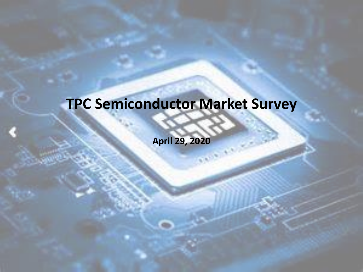### **TPC Semiconductor Market Survey**

**April 29, 2020**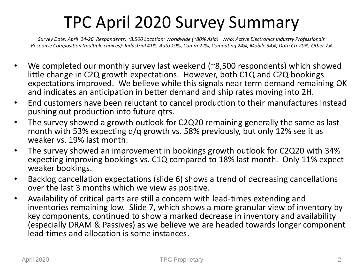### TPC April 2020 Survey Summary

*Survey Date: April 24-26 Respondents: ~8,500 Location: Worldwide (~80% Asia) Who: Active Electronics Industry Professionals Response Composition (multiple choices): Industrial 41%, Auto 19%, Comm 22%, Computing 24%, Mobile 34%, Data Ctr 20%, Other 7%*

- We completed our monthly survey last weekend (~8,500 respondents) which showed little change in C2Q growth expectations. However, both C1Q and C2Q bookings expectations improved. We believe while this signals near term demand remaining OK and indicates an anticipation in better demand and ship rates moving into 2H.
- End customers have been reluctant to cancel production to their manufactures instead pushing out production into future qtrs.
- The survey showed a growth outlook for C2Q20 remaining generally the same as last month with 53% expecting q/q growth vs. 58% previously, but only 12% see it as weaker vs. 19% last month.
- The survey showed an improvement in bookings growth outlook for C2Q20 with 34% expecting improving bookings vs. C1Q compared to 18% last month. Only 11% expect weaker bookings.
- Backlog cancellation expectations (slide 6) shows a trend of decreasing cancellations over the last 3 months which we view as positive.
- Availability of critical parts are still a concern with lead-times extending and inventories remaining low. Slide 7, which shows a more granular view of inventory by key components, continued to show a marked decrease in inventory and availability (especially DRAM & Passives) as we believe we are headed towards longer component lead-times and allocation is some instances.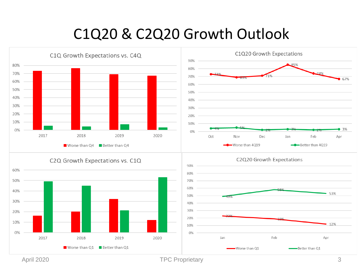#### C1Q20 & C2Q20 Growth Outlook



April 2020 3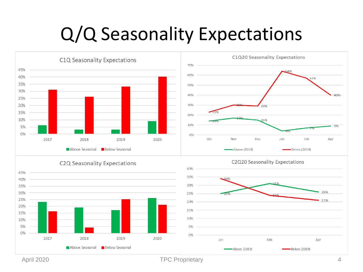## Q/Q Seasonality Expectations



April 2020 **April 2020 TPC Proprietary April 2020 4** 

 $\rightarrow$ Above (2019)

**Below Seasonal** 

Above Seasonal

Below (2019)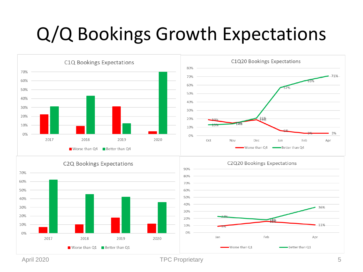## Q/Q Bookings Growth Expectations



April 2020 **TPC Proprietary** 5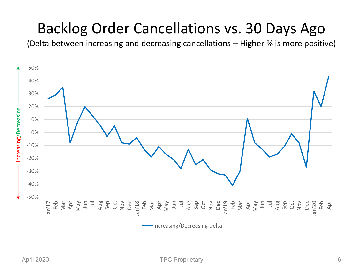#### Backlog Order Cancellations vs. 30 Days Ago

(Delta between increasing and decreasing cancellations – Higher % is more positive)

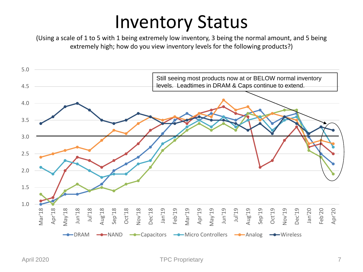## Inventory Status

(Using a scale of 1 to 5 with 1 being extremely low inventory, 3 being the normal amount, and 5 being extremely high; how do you view inventory levels for the following products?)

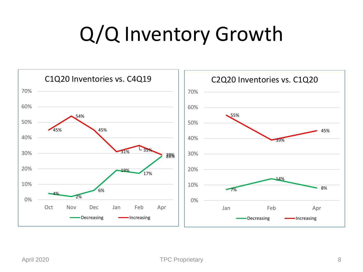# Q/Q Inventory Growth

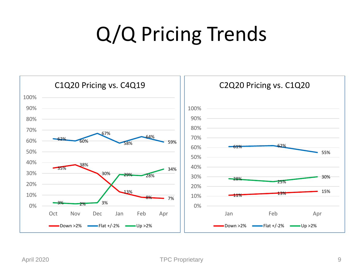# Q/Q Pricing Trends